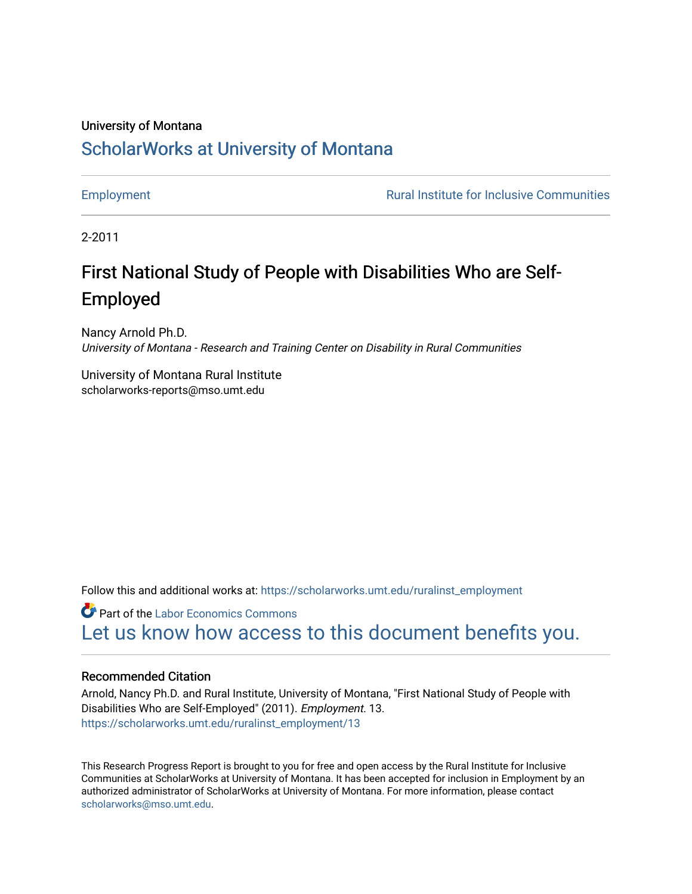# University of Montana [ScholarWorks at University of Montana](https://scholarworks.umt.edu/)

[Employment](https://scholarworks.umt.edu/ruralinst_employment) **Employment Rural Institute for Inclusive Communities** 

2-2011

# First National Study of People with Disabilities Who are Self-Employed

Nancy Arnold Ph.D. University of Montana - Research and Training Center on Disability in Rural Communities

University of Montana Rural Institute scholarworks-reports@mso.umt.edu

Follow this and additional works at: [https://scholarworks.umt.edu/ruralinst\\_employment](https://scholarworks.umt.edu/ruralinst_employment?utm_source=scholarworks.umt.edu%2Fruralinst_employment%2F13&utm_medium=PDF&utm_campaign=PDFCoverPages) 

**Part of the [Labor Economics Commons](http://network.bepress.com/hgg/discipline/349?utm_source=scholarworks.umt.edu%2Fruralinst_employment%2F13&utm_medium=PDF&utm_campaign=PDFCoverPages)** [Let us know how access to this document benefits you.](https://goo.gl/forms/s2rGfXOLzz71qgsB2) 

#### Recommended Citation

Arnold, Nancy Ph.D. and Rural Institute, University of Montana, "First National Study of People with Disabilities Who are Self-Employed" (2011). Employment. 13. [https://scholarworks.umt.edu/ruralinst\\_employment/13](https://scholarworks.umt.edu/ruralinst_employment/13?utm_source=scholarworks.umt.edu%2Fruralinst_employment%2F13&utm_medium=PDF&utm_campaign=PDFCoverPages) 

This Research Progress Report is brought to you for free and open access by the Rural Institute for Inclusive Communities at ScholarWorks at University of Montana. It has been accepted for inclusion in Employment by an authorized administrator of ScholarWorks at University of Montana. For more information, please contact [scholarworks@mso.umt.edu.](mailto:scholarworks@mso.umt.edu)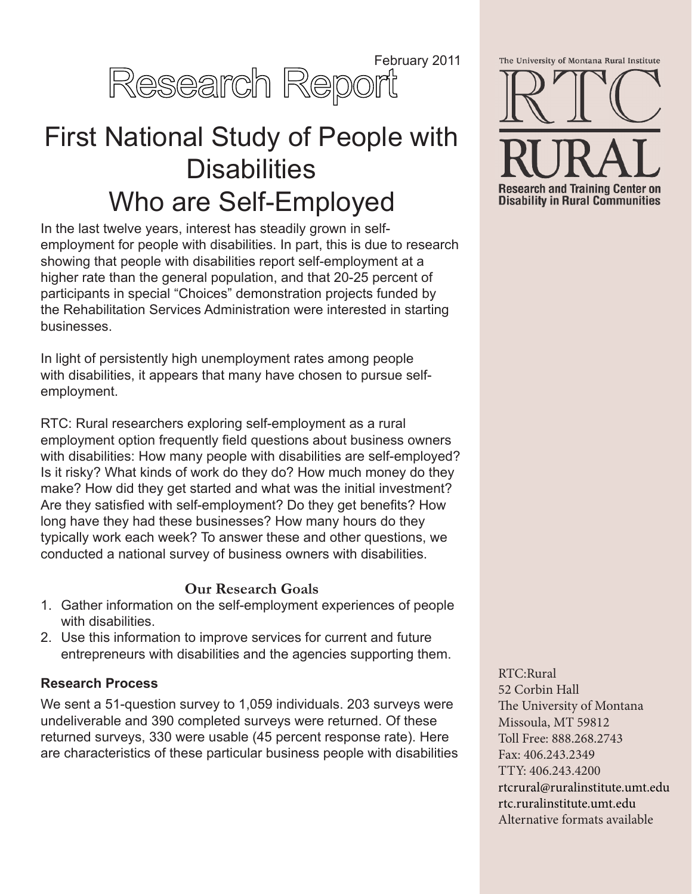

# First National Study of People with **Disabilities** Who are Self-Employed

In the last twelve years, interest has steadily grown in selfemployment for people with disabilities. In part, this is due to research showing that people with disabilities report self-employment at a higher rate than the general population, and that 20-25 percent of participants in special "Choices" demonstration projects funded by the Rehabilitation Services Administration were interested in starting businesses.

In light of persistently high unemployment rates among people with disabilities, it appears that many have chosen to pursue selfemployment.

RTC: Rural researchers exploring self-employment as a rural employment option frequently field questions about business owners with disabilities: How many people with disabilities are self-employed? Is it risky? What kinds of work do they do? How much money do they make? How did they get started and what was the initial investment? Are they satisfied with self-employment? Do they get benefits? How long have they had these businesses? How many hours do they typically work each week? To answer these and other questions, we conducted a national survey of business owners with disabilities.

# **Our Research Goals**

- 1. Gather information on the self-employment experiences of people with disabilities.
- 2. Use this information to improve services for current and future entrepreneurs with disabilities and the agencies supporting them.

#### **Research Process**

We sent a 51-question survey to 1,059 individuals. 203 surveys were undeliverable and 390 completed surveys were returned. Of these returned surveys, 330 were usable (45 percent response rate). Here are characteristics of these particular business people with disabilities



RTC:Rural 52 Corbin Hall The University of Montana Missoula, MT 59812 Toll Free: 888.268.2743 Fax: 406.243.2349 TTY: 406.243.4200 [rtcrural@ruralinstitute.umt.edu](mailto:rtcrural%40ruralinstitute.umt.edu?subject=) <rtc.ruralinstitute.umt.edu> Alternative formats available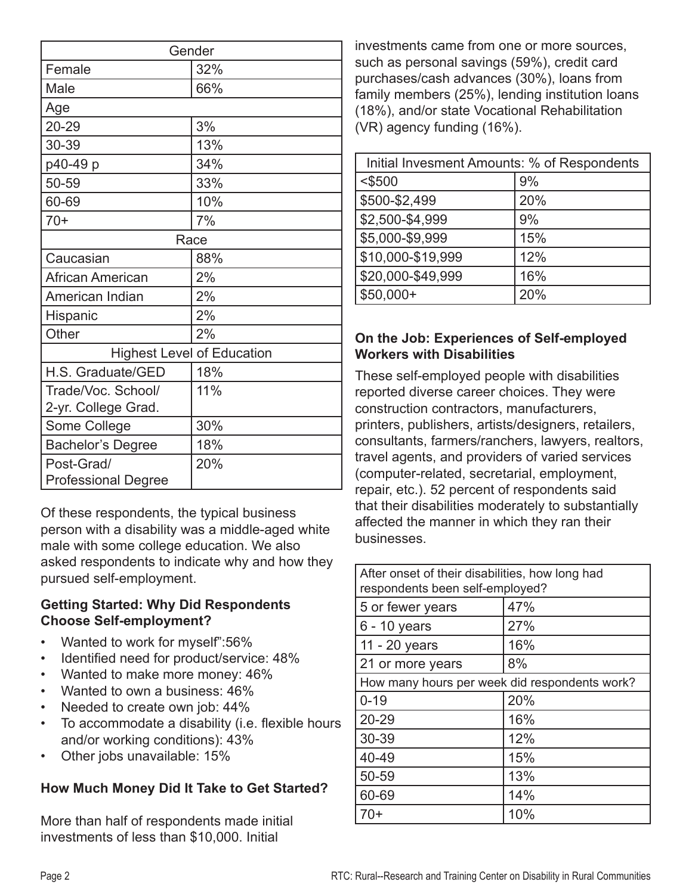| Gender                            |     |
|-----------------------------------|-----|
| Female                            | 32% |
| Male                              | 66% |
| Age                               |     |
| 20-29                             | 3%  |
| 30-39                             | 13% |
| p40-49 p                          | 34% |
| 50-59                             | 33% |
| 60-69                             | 10% |
| $70+$                             | 7%  |
| Race                              |     |
| Caucasian                         | 88% |
| African American                  | 2%  |
| American Indian                   | 2%  |
| Hispanic                          | 2%  |
| Other                             | 2%  |
| <b>Highest Level of Education</b> |     |
| H.S. Graduate/GED                 | 18% |
| Trade/Voc. School/                | 11% |
| 2-yr. College Grad.               |     |
| Some College                      | 30% |
| <b>Bachelor's Degree</b>          | 18% |
| Post-Grad/                        | 20% |
| <b>Professional Degree</b>        |     |

Of these respondents, the typical business person with a disability was a middle-aged white male with some college education. We also asked respondents to indicate why and how they pursued self-employment.

#### **Getting Started: Why Did Respondents Choose Self-employment?**

- Wanted to work for myself":56%
- Identified need for product/service: 48%
- Wanted to make more money: 46%
- Wanted to own a business: 46%
- Needed to create own job: 44%
- To accommodate a disability (i.e. flexible hours and/or working conditions): 43%
- Other jobs unavailable: 15%

# **How Much Money Did It Take to Get Started?**

More than half of respondents made initial investments of less than \$10,000. Initial

investments came from one or more sources, such as personal savings (59%), credit card purchases/cash advances (30%), loans from family members (25%), lending institution loans (18%), and/or state Vocational Rehabilitation (VR) agency funding (16%).

| Initial Invesment Amounts: % of Respondents |     |  |
|---------------------------------------------|-----|--|
| $<$ \$500                                   | 9%  |  |
| \$500-\$2,499                               | 20% |  |
| \$2,500-\$4,999                             | 9%  |  |
| \$5,000-\$9,999                             | 15% |  |
| \$10,000-\$19,999                           | 12% |  |
| \$20,000-\$49,999                           | 16% |  |
| $$50,000+$                                  | 20% |  |

#### **On the Job: Experiences of Self-employed Workers with Disabilities**

These self-employed people with disabilities reported diverse career choices. They were construction contractors, manufacturers, printers, publishers, artists/designers, retailers, consultants, farmers/ranchers, lawyers, realtors, travel agents, and providers of varied services (computer-related, secretarial, employment, repair, etc.). 52 percent of respondents said that their disabilities moderately to substantially affected the manner in which they ran their businesses.

| After onset of their disabilities, how long had<br>respondents been self-employed? |     |  |
|------------------------------------------------------------------------------------|-----|--|
| 5 or fewer years                                                                   | 47% |  |
| $6 - 10$ years                                                                     | 27% |  |
| 11 - 20 years                                                                      | 16% |  |
| 21 or more years                                                                   | 8%  |  |
| How many hours per week did respondents work?                                      |     |  |
| $0 - 19$                                                                           | 20% |  |
| 20-29                                                                              | 16% |  |
| 30-39                                                                              | 12% |  |
| 40-49                                                                              | 15% |  |
| 50-59                                                                              | 13% |  |
| 60-69                                                                              | 14% |  |
| 70+                                                                                | 10% |  |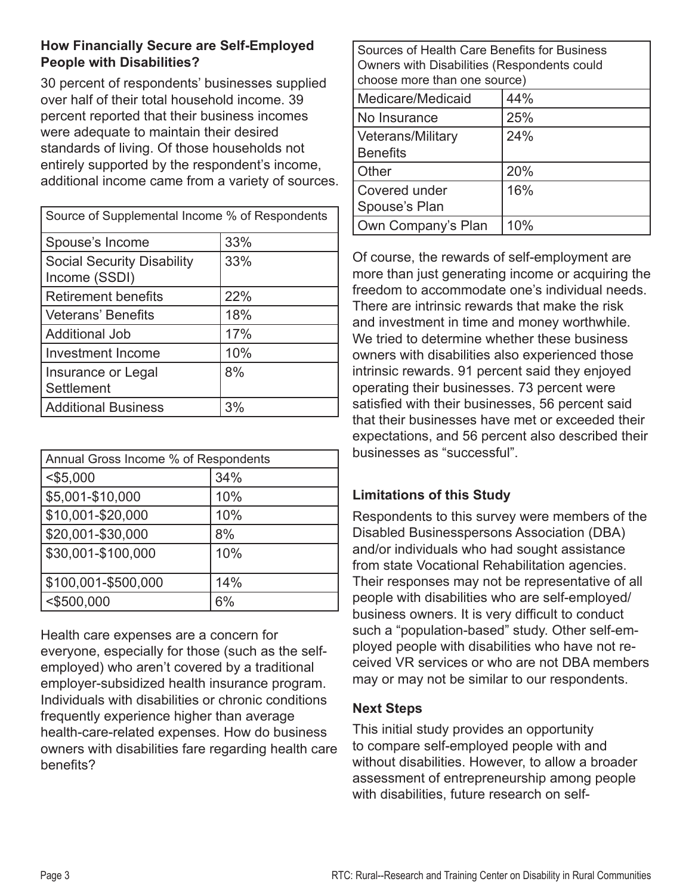#### **How Financially Secure are Self-Employed People with Disabilities?**

30 percent of respondents' businesses supplied over half of their total household income. 39 percent reported that their business incomes were adequate to maintain their desired standards of living. Of those households not entirely supported by the respondent's income, additional income came from a variety of sources.

| Source of Supplemental Income % of Respondents     |     |  |
|----------------------------------------------------|-----|--|
| Spouse's Income                                    | 33% |  |
| <b>Social Security Disability</b><br>Income (SSDI) | 33% |  |
| Retirement benefits                                | 22% |  |
| l Veterans' Benefits                               | 18% |  |
| l Additional Job                                   | 17% |  |
| Investment Income                                  | 10% |  |
| Insurance or Legal<br>Settlement                   | 8%  |  |
| Additional Business                                | 3%  |  |

| Annual Gross Income % of Respondents |     |  |
|--------------------------------------|-----|--|
| $<$ \$5,000                          | 34% |  |
| \$5,001-\$10,000                     | 10% |  |
| \$10,001-\$20,000                    | 10% |  |
| \$20,001-\$30,000                    | 8%  |  |
| \$30,001-\$100,000                   | 10% |  |
| \$100,001-\$500,000                  | 14% |  |
| $<$ \$500,000                        | 6%  |  |

Health care expenses are a concern for everyone, especially for those (such as the selfemployed) who aren't covered by a traditional employer-subsidized health insurance program. Individuals with disabilities or chronic conditions frequently experience higher than average health-care-related expenses. How do business owners with disabilities fare regarding health care benefits?

| Sources of Health Care Benefits for Business<br>Owners with Disabilities (Respondents could<br>choose more than one source) |     |  |
|-----------------------------------------------------------------------------------------------------------------------------|-----|--|
| Medicare/Medicaid                                                                                                           | 44% |  |
| No Insurance                                                                                                                | 25% |  |
| Veterans/Military<br><b>Benefits</b>                                                                                        | 24% |  |
| Other                                                                                                                       | 20% |  |
| Covered under<br>Spouse's Plan                                                                                              | 16% |  |
| Own Company's Plan                                                                                                          | 10% |  |

Of course, the rewards of self-employment are more than just generating income or acquiring the freedom to accommodate one's individual needs. There are intrinsic rewards that make the risk and investment in time and money worthwhile. We tried to determine whether these business owners with disabilities also experienced those intrinsic rewards. 91 percent said they enjoyed operating their businesses. 73 percent were satisfied with their businesses, 56 percent said that their businesses have met or exceeded their expectations, and 56 percent also described their businesses as "successful".

# **Limitations of this Study**

Respondents to this survey were members of the Disabled Businesspersons Association (DBA) and/or individuals who had sought assistance from state Vocational Rehabilitation agencies. Their responses may not be representative of all people with disabilities who are self-employed/ business owners. It is very difficult to conduct such a "population-based" study. Other self-employed people with disabilities who have not received VR services or who are not DBA members may or may not be similar to our respondents.

# **Next Steps**

This initial study provides an opportunity to compare self-employed people with and without disabilities. However, to allow a broader assessment of entrepreneurship among people with disabilities, future research on self